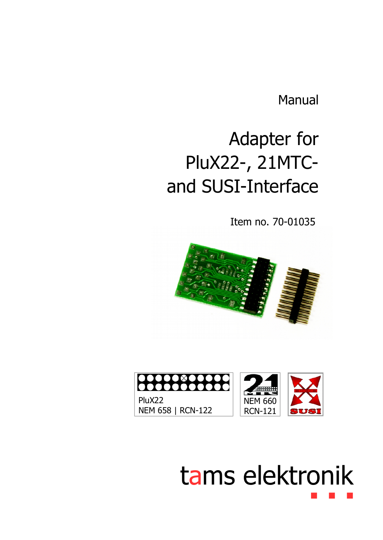Manual

# Adapter for PluX22-, 21MTCand SUSI-Interface

Item no. 70-01035





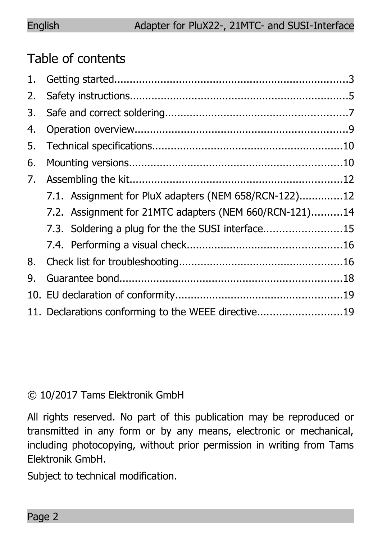## Table of contents

| 1. |                                                        |  |  |
|----|--------------------------------------------------------|--|--|
| 2. |                                                        |  |  |
| 3. |                                                        |  |  |
| 4. |                                                        |  |  |
| 5. |                                                        |  |  |
| 6. |                                                        |  |  |
| 7. |                                                        |  |  |
|    | 7.1. Assignment for PluX adapters (NEM 658/RCN-122)12  |  |  |
|    | 7.2. Assignment for 21MTC adapters (NEM 660/RCN-121)14 |  |  |
|    | 7.3. Soldering a plug for the the SUSI interface15     |  |  |
|    |                                                        |  |  |
| 8. |                                                        |  |  |
| 9. |                                                        |  |  |
|    |                                                        |  |  |
|    | 11. Declarations conforming to the WEEE directive19    |  |  |

#### © 10/2017 Tams Elektronik GmbH

All rights reserved. No part of this publication may be reproduced or transmitted in any form or by any means, electronic or mechanical, including photocopying, without prior permission in writing from Tams Elektronik GmbH.

Subject to technical modification.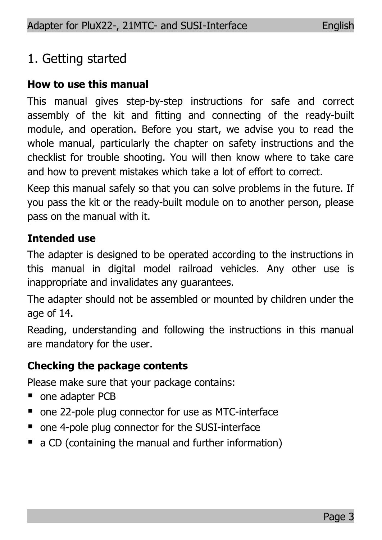## 1. Getting started

#### **How to use this manual**

This manual gives step-by-step instructions for safe and correct assembly of the kit and fitting and connecting of the ready-built module, and operation. Before you start, we advise you to read the whole manual, particularly the chapter on safety instructions and the checklist for trouble shooting. You will then know where to take care and how to prevent mistakes which take a lot of effort to correct.

Keep this manual safely so that you can solve problems in the future. If you pass the kit or the ready-built module on to another person, please pass on the manual with it.

#### **Intended use**

The adapter is designed to be operated according to the instructions in this manual in digital model railroad vehicles. Any other use is inappropriate and invalidates any guarantees.

The adapter should not be assembled or mounted by children under the age of 14.

Reading, understanding and following the instructions in this manual are mandatory for the user.

#### **Checking the package contents**

Please make sure that your package contains:

- one adapter PCB
- one 22-pole plug connector for use as MTC-interface
- one 4-pole plug connector for the SUSI-interface
- a CD (containing the manual and further information)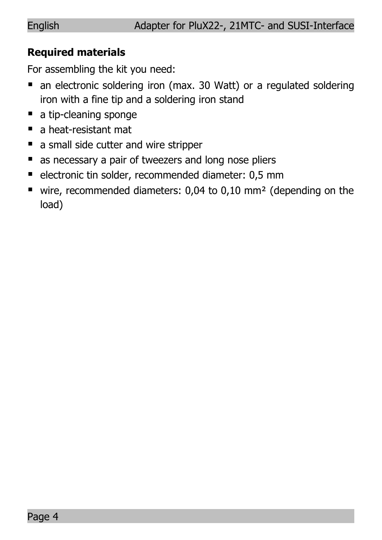#### **Required materials**

For assembling the kit you need:

- an electronic soldering iron (max. 30 Watt) or a regulated soldering iron with a fine tip and a soldering iron stand
- a tip-cleaning sponge
- a heat-resistant mat
- a small side cutter and wire stripper
- as necessary a pair of tweezers and long nose pliers
- electronic tin solder, recommended diameter: 0,5 mm
- wire, recommended diameters: 0,04 to 0,10 mm<sup>2</sup> (depending on the load)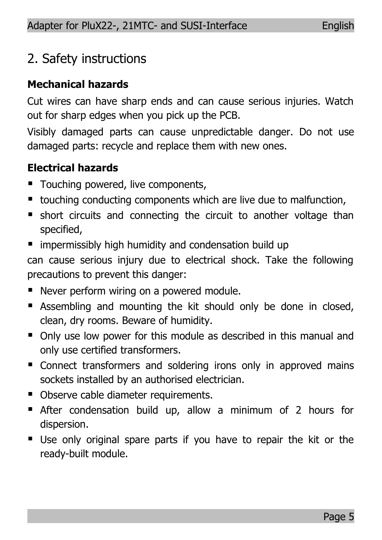## 2. Safety instructions

#### **Mechanical hazards**

Cut wires can have sharp ends and can cause serious injuries. Watch out for sharp edges when you pick up the PCB.

Visibly damaged parts can cause unpredictable danger. Do not use damaged parts: recycle and replace them with new ones.

## **Electrical hazards**

- Touching powered, live components,
- touching conducting components which are live due to malfunction,
- short circuits and connecting the circuit to another voltage than specified,
- impermissibly high humidity and condensation build up

can cause serious injury due to electrical shock. Take the following precautions to prevent this danger:

- Never perform wiring on a powered module.
- **E** Assembling and mounting the kit should only be done in closed, clean, dry rooms. Beware of humidity.
- Only use low power for this module as described in this manual and only use certified transformers.
- Connect transformers and soldering irons only in approved mains sockets installed by an authorised electrician.
- Observe cable diameter requirements.
- After condensation build up, allow a minimum of 2 hours for dispersion.
- Use only original spare parts if you have to repair the kit or the ready-built module.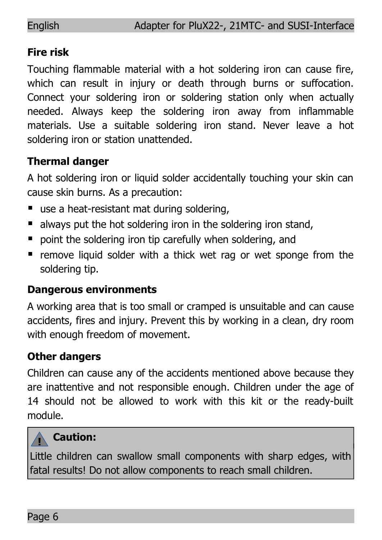#### **Fire risk**

Touching flammable material with a hot soldering iron can cause fire, which can result in injury or death through burns or suffocation. Connect your soldering iron or soldering station only when actually needed. Always keep the soldering iron away from inflammable materials. Use a suitable soldering iron stand. Never leave a hot soldering iron or station unattended.

#### **Thermal danger**

A hot soldering iron or liquid solder accidentally touching your skin can cause skin burns. As a precaution:

- use a heat-resistant mat during soldering.
- always put the hot soldering iron in the soldering iron stand.
- point the soldering iron tip carefully when soldering, and
- **•** remove liquid solder with a thick wet rag or wet sponge from the soldering tip.

#### **Dangerous environments**

A working area that is too small or cramped is unsuitable and can cause accidents, fires and injury. Prevent this by working in a clean, dry room with enough freedom of movement.

## **Other dangers**

Children can cause any of the accidents mentioned above because they are inattentive and not responsible enough. Children under the age of 14 should not be allowed to work with this kit or the ready-built module.

#### **! Caution:**

Little children can swallow small components with sharp edges, with fatal results! Do not allow components to reach small children.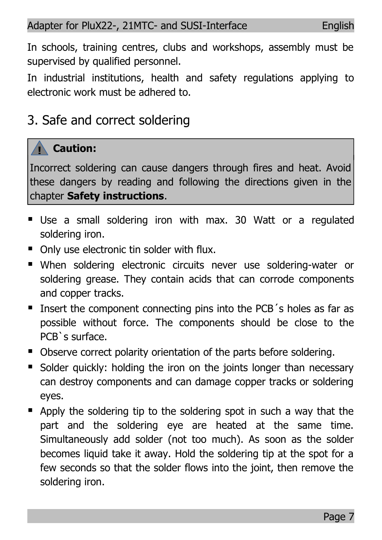In schools, training centres, clubs and workshops, assembly must be supervised by qualified personnel.

In industrial institutions, health and safety regulations applying to electronic work must be adhered to.

## 3. Safe and correct soldering

#### **! Caution:**

Incorrect soldering can cause dangers through fires and heat. Avoid these dangers by reading and following the directions given in the chapter **Safety instructions**.

- Use a small soldering iron with max. 30 Watt or a regulated soldering iron.
- Only use electronic tin solder with flux.
- When soldering electronic circuits never use soldering-water or soldering grease. They contain acids that can corrode components and copper tracks.
- **If Insert the component connecting pins into the PCB**'s holes as far as possible without force. The components should be close to the PCB`s surface.
- Observe correct polarity orientation of the parts before soldering.
- Solder quickly: holding the iron on the joints longer than necessary can destroy components and can damage copper tracks or soldering eyes.
- Apply the soldering tip to the soldering spot in such a way that the part and the soldering eye are heated at the same time. Simultaneously add solder (not too much). As soon as the solder becomes liquid take it away. Hold the soldering tip at the spot for a few seconds so that the solder flows into the joint, then remove the soldering iron.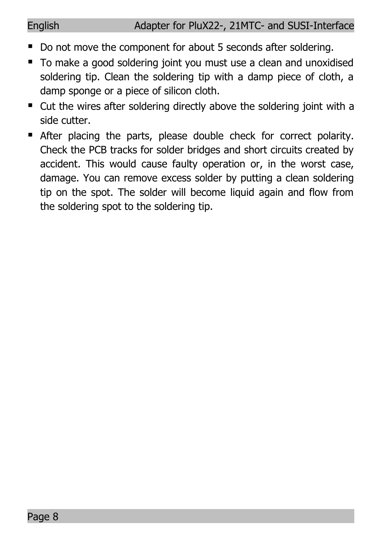- Do not move the component for about 5 seconds after soldering.
- To make a good soldering joint you must use a clean and unoxidised soldering tip. Clean the soldering tip with a damp piece of cloth, a damp sponge or a piece of silicon cloth.
- Cut the wires after soldering directly above the soldering joint with a side cutter.
- After placing the parts, please double check for correct polarity. Check the PCB tracks for solder bridges and short circuits created by accident. This would cause faulty operation or, in the worst case, damage. You can remove excess solder by putting a clean soldering tip on the spot. The solder will become liquid again and flow from the soldering spot to the soldering tip.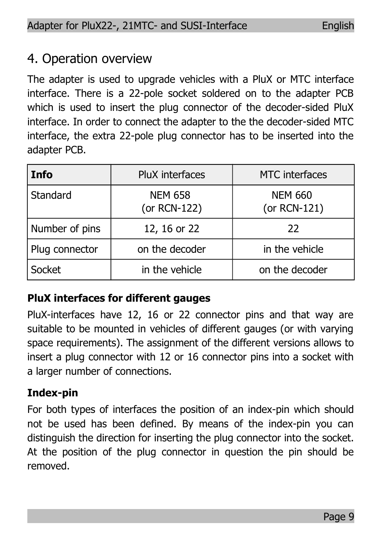## 4. Operation overview

The adapter is used to upgrade vehicles with a PluX or MTC interface interface. There is a 22-pole socket soldered on to the adapter PCB which is used to insert the plug connector of the decoder-sided PluX interface. In order to connect the adapter to the the decoder-sided MTC interface, the extra 22-pole plug connector has to be inserted into the adapter PCB.

| <b>Info</b>    | PluX interfaces                | <b>MTC</b> interfaces          |  |
|----------------|--------------------------------|--------------------------------|--|
| Standard       | <b>NEM 658</b><br>(or RCN-122) | <b>NEM 660</b><br>(or RCN-121) |  |
| Number of pins | 12, 16 or 22                   | 22                             |  |
| Plug connector | on the decoder                 | in the vehicle                 |  |
| Socket         | in the vehicle                 | on the decoder                 |  |

## **PluX interfaces for different gauges**

PluX-interfaces have 12, 16 or 22 connector pins and that way are suitable to be mounted in vehicles of different gauges (or with varying space requirements). The assignment of the different versions allows to insert a plug connector with 12 or 16 connector pins into a socket with a larger number of connections.

## **Index-pin**

For both types of interfaces the position of an index-pin which should not be used has been defined. By means of the index-pin you can distinguish the direction for inserting the plug connector into the socket. At the position of the plug connector in question the pin should be removed.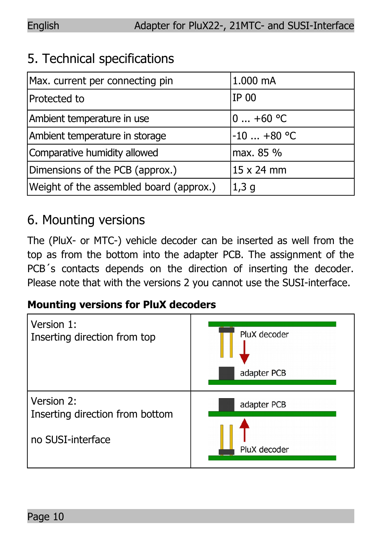## 5. Technical specifications

| Max. current per connecting pin         | 1.000 mA     |  |
|-----------------------------------------|--------------|--|
| Protected to                            | IP 00        |  |
| Ambient temperature in use              | 0 $+60 °C$   |  |
| Ambient temperature in storage          | $-10$ +80 °C |  |
| Comparative humidity allowed            | max. 85 %    |  |
| Dimensions of the PCB (approx.)         | 15 x 24 mm   |  |
| Weight of the assembled board (approx.) | 1,3q         |  |

## 6. Mounting versions

The (PluX- or MTC-) vehicle decoder can be inserted as well from the top as from the bottom into the adapter PCB. The assignment of the PCB<sup>'</sup>s contacts depends on the direction of inserting the decoder. Please note that with the versions 2 you cannot use the SUSI-interface.

## **Mounting versions for PluX decoders**

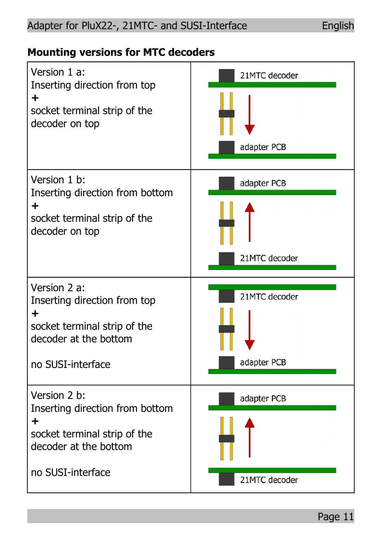#### Adapter for PluX22-, 21MTC- and SUSI-Interface English

#### **Mounting versions for MTC decoders**

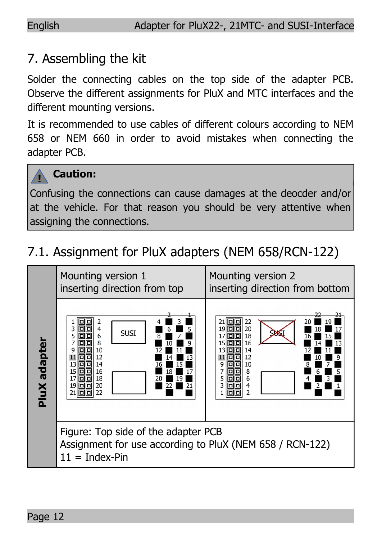## 7. Assembling the kit

Solder the connecting cables on the top side of the adapter PCB. Observe the different assignments for PluX and MTC interfaces and the different mounting versions.

It is recommended to use cables of different colours according to NEM 658 or NEM 660 in order to avoid mistakes when connecting the adapter PCB.



## **Caution:**

Confusing the connections can cause damages at the deocder and/or at the vehicle. For that reason you should be very attentive when assigning the connections.

## 7.1. Assignment for PluX adapters (NEM 658/RCN-122)

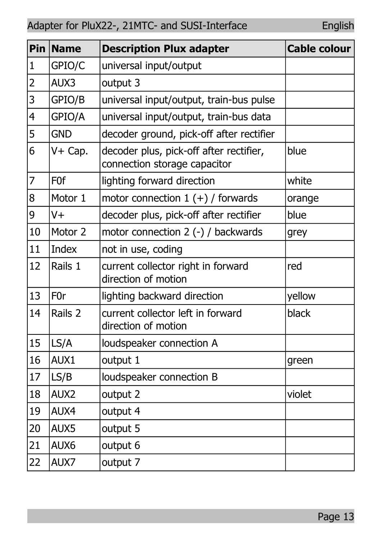|                | Pin Name         | <b>Description Plux adapter</b>                                         | <b>Cable colour</b> |
|----------------|------------------|-------------------------------------------------------------------------|---------------------|
| $\mathbf 1$    | GPIO/C           | universal input/output                                                  |                     |
| $\overline{2}$ | AUX3             | output 3                                                                |                     |
| 3              | GPIO/B           | universal input/output, train-bus pulse                                 |                     |
| 4              | GPIO/A           | universal input/output, train-bus data                                  |                     |
| 5              | <b>GND</b>       | decoder ground, pick-off after rectifier                                |                     |
| 6              | V+ Cap.          | decoder plus, pick-off after rectifier,<br>connection storage capacitor | blue                |
| 7              | F <sub>0f</sub>  | lighting forward direction                                              | white               |
| 8              | Motor 1          | motor connection $1 (+)$ / forwards                                     | orange              |
| 9              | $V +$            | decoder plus, pick-off after rectifier                                  | blue                |
| 10             | Motor 2          | motor connection 2 (-) / backwards                                      | grey                |
| 11             | Index            | not in use, coding                                                      |                     |
| 12             | Rails 1          | current collector right in forward<br>direction of motion               | red                 |
| 13             | F <sub>0</sub> r | lighting backward direction                                             | yellow              |
| 14             | Rails 2          | current collector left in forward<br>direction of motion                | black               |
| 15             | LS/A             | loudspeaker connection A                                                |                     |
| 16             | AUX1             | output 1                                                                | green               |
| 17             | LS/B             | loudspeaker connection B                                                |                     |
| 18             | AUX <sub>2</sub> | output 2                                                                | violet              |
| 19             | AUX4             | output 4                                                                |                     |
| 20             | AUX5             | output 5                                                                |                     |
| 21             | AUX6             | output 6                                                                |                     |
| 22             | AUX7             | output 7                                                                |                     |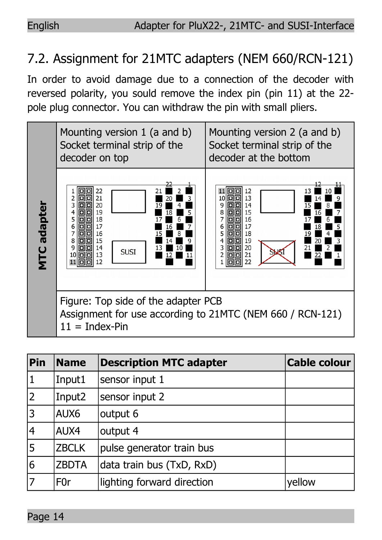# 7.2. Assignment for 21MTC adapters (NEM 660/RCN-121)

In order to avoid damage due to a connection of the decoder with reversed polarity, you sould remove the index pin (pin 11) at the 22 pole plug connector. You can withdraw the pin with small pliers.



| Pin            | <b>Name</b>        | <b>Description MTC adapter</b> | <b>Cable colour</b> |
|----------------|--------------------|--------------------------------|---------------------|
| 1              | Input1             | sensor input 1                 |                     |
| $\overline{2}$ | Input <sub>2</sub> | sensor input 2                 |                     |
| $\overline{3}$ | AUX6               | output 6                       |                     |
| 4              | AUX4               | output 4                       |                     |
| 5              | <b>ZBCLK</b>       | pulse generator train bus      |                     |
| 6              | <b>ZBDTA</b>       | data train bus (TxD, RxD)      |                     |
| 7              | F0r                | lighting forward direction     | yellow              |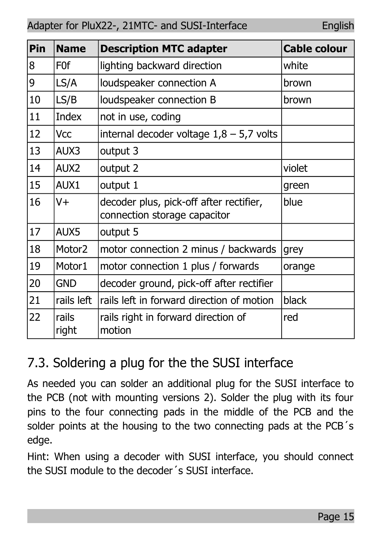| Pin | <b>Name</b>        | <b>Description MTC adapter</b>                                          | <b>Cable colour</b> |
|-----|--------------------|-------------------------------------------------------------------------|---------------------|
| 8   | F <sub>0</sub> f   | lighting backward direction                                             | white               |
| 9   | LS/A               | loudspeaker connection A                                                | brown               |
| 10  | LS/B               | loudspeaker connection B                                                | brown               |
| 11  | Index              | not in use, coding                                                      |                     |
| 12  | Vcc                | internal decoder voltage $1,8 - 5,7$ volts                              |                     |
| 13  | AUX3               | output 3                                                                |                     |
| 14  | AUX <sub>2</sub>   | output 2                                                                | violet              |
| 15  | AUX1               | output 1                                                                | green               |
| 16  | V+                 | decoder plus, pick-off after rectifier,<br>connection storage capacitor | blue                |
| 17  | AUX5               | output 5                                                                |                     |
| 18  | Motor <sub>2</sub> | motor connection 2 minus / backwards                                    | grey                |
| 19  | Motor1             | motor connection 1 plus / forwards                                      | orange              |
| 20  | GND                | decoder ground, pick-off after rectifier                                |                     |
| 21  | rails left         | rails left in forward direction of motion                               | black               |
| 22  | rails<br>right     | rails right in forward direction of<br>motion                           | red                 |

# 7.3. Soldering a plug for the the SUSI interface

As needed you can solder an additional plug for the SUSI interface to the PCB (not with mounting versions 2). Solder the plug with its four pins to the four connecting pads in the middle of the PCB and the solder points at the housing to the two connecting pads at the PCB´s edge.

Hint: When using a decoder with SUSI interface, you should connect the SUSI module to the decoder´s SUSI interface.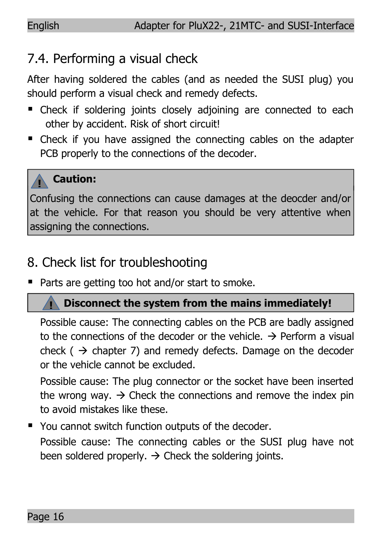## 7.4. Performing a visual check

After having soldered the cables (and as needed the SUSI plug) you should perform a visual check and remedy defects.

- Check if soldering joints closely adjoining are connected to each other by accident. Risk of short circuit!
- Check if you have assigned the connecting cables on the adapter PCB properly to the connections of the decoder.

#### **! Caution:**

**!**

Confusing the connections can cause damages at the deocder and/or at the vehicle. For that reason you should be very attentive when assigning the connections.

## 8. Check list for troubleshooting

■ Parts are getting too hot and/or start to smoke.

## **Disconnect the system from the mains immediately!**

Possible cause: The connecting cables on the PCB are badly assigned to the connections of the decoder or the vehicle.  $\rightarrow$  Perform a visual check ( $\rightarrow$  chapter 7) and remedy defects. Damage on the decoder or the vehicle cannot be excluded.

Possible cause: The plug connector or the socket have been inserted the wrong way.  $\rightarrow$  Check the connections and remove the index pin to avoid mistakes like these.

You cannot switch function outputs of the decoder. Possible cause: The connecting cables or the SUSI plug have not been soldered properly.  $\rightarrow$  Check the soldering joints.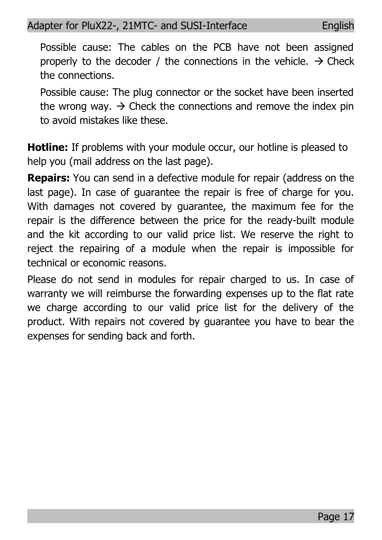Possible cause: The cables on the PCB have not been assigned properly to the decoder / the connections in the vehicle.  $\rightarrow$  Check the connections.

Possible cause: The plug connector or the socket have been inserted the wrong way.  $\rightarrow$  Check the connections and remove the index pin to avoid mistakes like these.

**Hotline:** If problems with your module occur, our hotline is pleased to help you (mail address on the last page).

**Repairs:** You can send in a defective module for repair (address on the last page). In case of guarantee the repair is free of charge for you. With damages not covered by guarantee, the maximum fee for the repair is the difference between the price for the ready-built module and the kit according to our valid price list. We reserve the right to reject the repairing of a module when the repair is impossible for technical or economic reasons.

Please do not send in modules for repair charged to us. In case of warranty we will reimburse the forwarding expenses up to the flat rate we charge according to our valid price list for the delivery of the product. With repairs not covered by guarantee you have to bear the expenses for sending back and forth.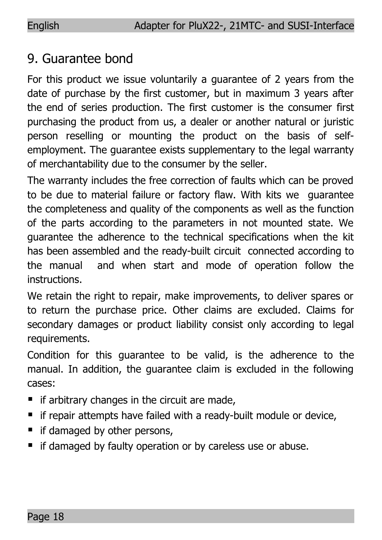## 9. Guarantee bond

For this product we issue voluntarily a guarantee of 2 years from the date of purchase by the first customer, but in maximum 3 years after the end of series production. The first customer is the consumer first purchasing the product from us, a dealer or another natural or juristic person reselling or mounting the product on the basis of selfemployment. The guarantee exists supplementary to the legal warranty of merchantability due to the consumer by the seller.

The warranty includes the free correction of faults which can be proved to be due to material failure or factory flaw. With kits we guarantee the completeness and quality of the components as well as the function of the parts according to the parameters in not mounted state. We guarantee the adherence to the technical specifications when the kit has been assembled and the ready-built circuit connected according to the manual and when start and mode of operation follow the instructions.

We retain the right to repair, make improvements, to deliver spares or to return the purchase price. Other claims are excluded. Claims for secondary damages or product liability consist only according to legal requirements.

Condition for this guarantee to be valid, is the adherence to the manual. In addition, the guarantee claim is excluded in the following cases:

- $\blacksquare$  if arbitrary changes in the circuit are made,
- $\blacksquare$  if repair attempts have failed with a ready-built module or device,
- if damaged by other persons,
- **F** if damaged by faulty operation or by careless use or abuse.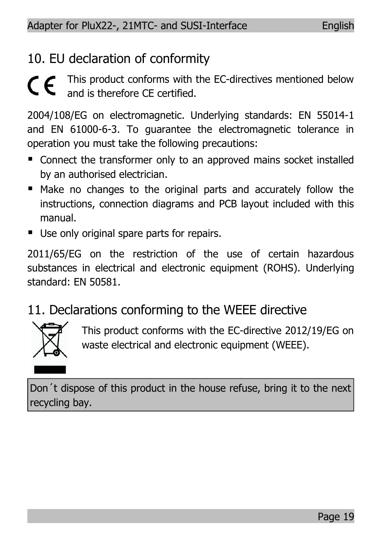## 10. EU declaration of conformity

This product conforms with the EC-directives mentioned below and is therefore CE certified.

2004/108/EG on electromagnetic. Underlying standards: EN 55014-1 and EN 61000-6-3. To guarantee the electromagnetic tolerance in operation you must take the following precautions:

- Connect the transformer only to an approved mains socket installed by an authorised electrician.
- Make no changes to the original parts and accurately follow the instructions, connection diagrams and PCB layout included with this manual.
- Use only original spare parts for repairs.

2011/65/EG on the restriction of the use of certain hazardous substances in electrical and electronic equipment (ROHS). Underlying standard: EN 50581.

## 11. Declarations conforming to the WEEE directive



This product conforms with the EC-directive 2012/19/EG on waste electrical and electronic equipment (WEEE).

Don´t dispose of this product in the house refuse, bring it to the next recycling bay.